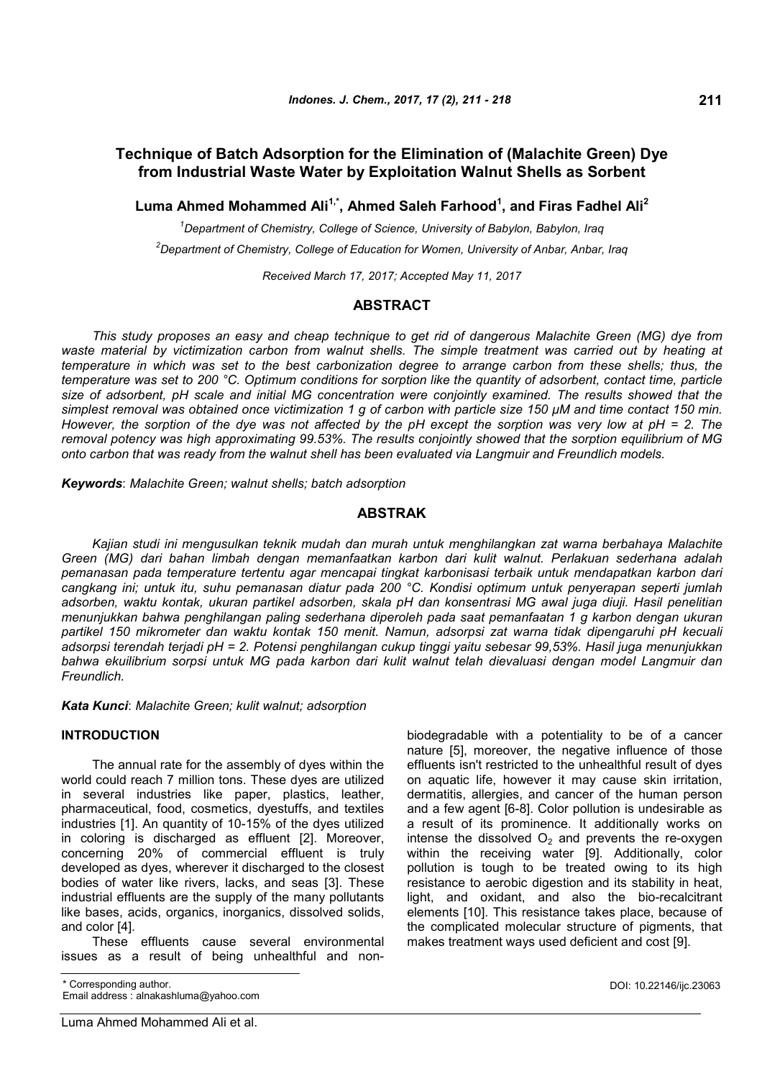# **Technique of Batch Adsorption for the Elimination of (Malachite Green) Dye from Industrial Waste Water by Exploitation Walnut Shells as Sorbent**

**Luma Ahmed Mohammed Ali1,\*, Ahmed Saleh Farhood<sup>1</sup> , and Firas Fadhel Ali<sup>2</sup>**

*<sup>1</sup>Department of Chemistry, College of Science, University of Babylon, Babylon, Iraq <sup>2</sup>Department of Chemistry, College of Education for Women, University of Anbar, Anbar, Iraq*

*Received March 17, 2017; Accepted May 11, 2017*

# **ABSTRACT**

*This study proposes an easy and cheap technique to get rid of dangerous Malachite Green (MG) dye from waste material by victimization carbon from walnut shells. The simple treatment was carried out by heating at temperature in which was set to the best carbonization degree to arrange carbon from these shells; thus, the temperature was set to 200 °C. Optimum conditions for sorption like the quantity of adsorbent, contact time, particle size of adsorbent, pH scale and initial MG concentration were conjointly examined. The results showed that the* simplest removal was obtained once victimization 1 g of carbon with particle size 150 µM and time contact 150 min. *However, the sorption of the dye was not affected by the pH except the sorption was very low at pH = 2. The removal potency was high approximating 99.53%. The results conjointly showed that the sorption equilibrium of MG onto carbon that was ready from the walnut shell has been evaluated via Langmuir and Freundlich models.*

*Keywords*: *Malachite Green; walnut shells; batch adsorption*

# **ABSTRAK**

*Kajian studi ini mengusulkan teknik mudah dan murah untuk menghilangkan zat warna berbahaya Malachite Green (MG) dari bahan limbah dengan memanfaatkan karbon dari kulit walnut. Perlakuan sederhana adalah pemanasan pada temperature tertentu agar mencapai tingkat karbonisasi terbaik untuk mendapatkan karbon dari cangkang ini; untuk itu, suhu pemanasan diatur pada 200 °C. Kondisi optimum untuk penyerapan seperti jumlah adsorben, waktu kontak, ukuran partikel adsorben, skala pH dan konsentrasi MG awal juga diuji. Hasil penelitian menunjukkan bahwa penghilangan paling sederhana diperoleh pada saat pemanfaatan 1 g karbon dengan ukuran partikel 150 mikrometer dan waktu kontak 150 menit. Namun, adsorpsi zat warna tidak dipengaruhi pH kecuali adsorpsi terendah terjadi pH = 2. Potensi penghilangan cukup tinggi yaitu sebesar 99,53%. Hasil juga menunjukkan bahwa ekuilibrium sorpsi untuk MG pada karbon dari kulit walnut telah dievaluasi dengan model Langmuir dan Freundlich.*

*Kata Kunci*: *Malachite Green; kulit walnut; adsorption*

# **INTRODUCTION**

The annual rate for the assembly of dyes within the world could reach 7 million tons. These dyes are utilized in several industries like paper, plastics, leather, pharmaceutical, food, cosmetics, dyestuffs, and textiles industries [1]. An quantity of 10-15% of the dyes utilized in coloring is discharged as effluent [2]. Moreover, concerning 20% of commercial effluent is truly developed as dyes, wherever it discharged to the closest bodies of water like rivers, lacks, and seas [3]. These industrial effluents are the supply of the many pollutants like bases, acids, organics, inorganics, dissolved solids, and color [4].

These effluents cause several environmental issues as a result of being unhealthful and nonbiodegradable with a potentiality to be of a cancer nature [5], moreover, the negative influence of those effluents isn't restricted to the unhealthful result of dyes on aquatic life, however it may cause skin irritation, dermatitis, allergies, and cancer of the human person and a few agent [6-8]. Color pollution is undesirable as a result of its prominence. It additionally works on intense the dissolved  $O<sub>2</sub>$  and prevents the re-oxygen within the receiving water [9]. Additionally, color pollution is tough to be treated owing to its high resistance to aerobic digestion and its stability in heat, light, and oxidant, and also the bio-recalcitrant elements [10]. This resistance takes place, because of the complicated molecular structure of pigments, that makes treatment ways used deficient and cost [9].

<sup>\*</sup> Corresponding author. Email address : alnakashluma@yahoo.com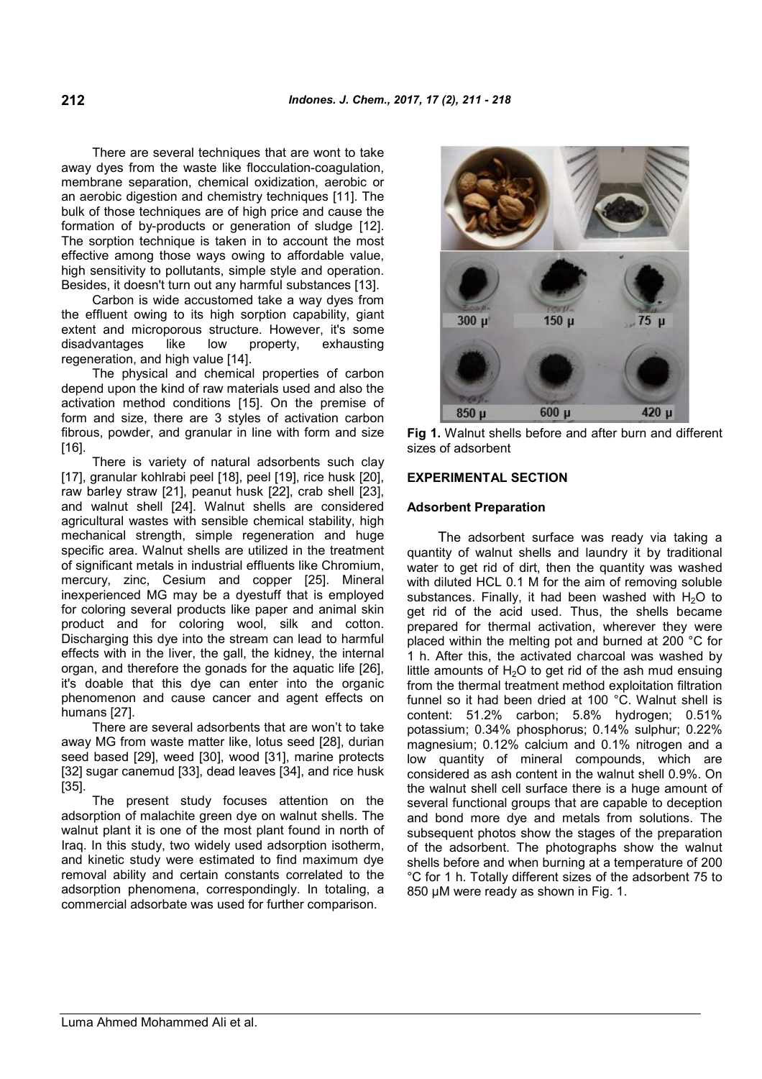There are several techniques that are wont to take away dyes from the waste like flocculation-coagulation, membrane separation, chemical oxidization, aerobic or an aerobic digestion and chemistry techniques [11]. The bulk of those techniques are of high price and cause the formation of by-products or generation of sludge [12]. The sorption technique is taken in to account the most effective among those ways owing to affordable value, high sensitivity to pollutants, simple style and operation. Besides, it doesn't turn out any harmful substances [13].

Carbon is wide accustomed take a way dyes from the effluent owing to its high sorption capability, giant extent and microporous structure. However, it's some disadvantages like low property, exhausting regeneration, and high value [14].

The physical and chemical properties of carbon depend upon the kind of raw materials used and also the activation method conditions [15]. On the premise of form and size, there are 3 styles of activation carbon fibrous, powder, and granular in line with form and size [16].

There is variety of natural adsorbents such clay [17], granular kohlrabi peel [18], peel [19], rice husk [20], raw barley straw [21], peanut husk [22], crab shell [23], and walnut shell [24]. Walnut shells are considered agricultural wastes with sensible chemical stability, high mechanical strength, simple regeneration and huge specific area. Walnut shells are utilized in the treatment of significant metals in industrial effluents like Chromium, mercury, zinc, Cesium and copper [25]. Mineral inexperienced MG may be a dyestuff that is employed for coloring several products like paper and animal skin product and for coloring wool, silk and cotton. Discharging this dye into the stream can lead to harmful effects with in the liver, the gall, the kidney, the internal organ, and therefore the gonads for the aquatic life [26], it's doable that this dye can enter into the organic phenomenon and cause cancer and agent effects on humans [27].

There are several adsorbents that are won't to take away MG from waste matter like, lotus seed [28], durian seed based [29], weed [30], wood [31], marine protects [32] sugar canemud [33], dead leaves [34], and rice husk [35].

The present study focuses attention on the adsorption of malachite green dye on walnut shells. The walnut plant it is one of the most plant found in north of Iraq. In this study, two widely used adsorption isotherm, and kinetic study were estimated to find maximum dye removal ability and certain constants correlated to the adsorption phenomena, correspondingly. In totaling, a commercial adsorbate was used for further comparison.



**Fig 1.** Walnut shells before and after burn and different sizes of adsorbent

## **EXPERIMENTAL SECTION**

# **Adsorbent Preparation**

The adsorbent surface was ready via taking a quantity of walnut shells and laundry it by traditional water to get rid of dirt, then the quantity was washed with diluted HCL 0.1 M for the aim of removing soluble substances. Finally, it had been washed with  $H_2O$  to get rid of the acid used. Thus, the shells became prepared for thermal activation, wherever they were placed within the melting pot and burned at 200 °C for 1 h. After this, the activated charcoal was washed by little amounts of  $H_2O$  to get rid of the ash mud ensuing from the thermal treatment method exploitation filtration funnel so it had been dried at 100 °C. Walnut shell is content: 51.2% carbon; 5.8% hydrogen; 0.51% potassium; 0.34% phosphorus; 0.14% sulphur; 0.22% magnesium; 0.12% calcium and 0.1% nitrogen and a low quantity of mineral compounds, which are considered as ash content in the walnut shell 0.9%. On the walnut shell cell surface there is a huge amount of several functional groups that are capable to deception and bond more dye and metals from solutions. The subsequent photos show the stages of the preparation of the adsorbent. The photographs show the walnut shells before and when burning at a temperature of 200 °C for 1 h. Totally different sizes of the adsorbent 75 to 850 μM were ready as shown in Fig. 1.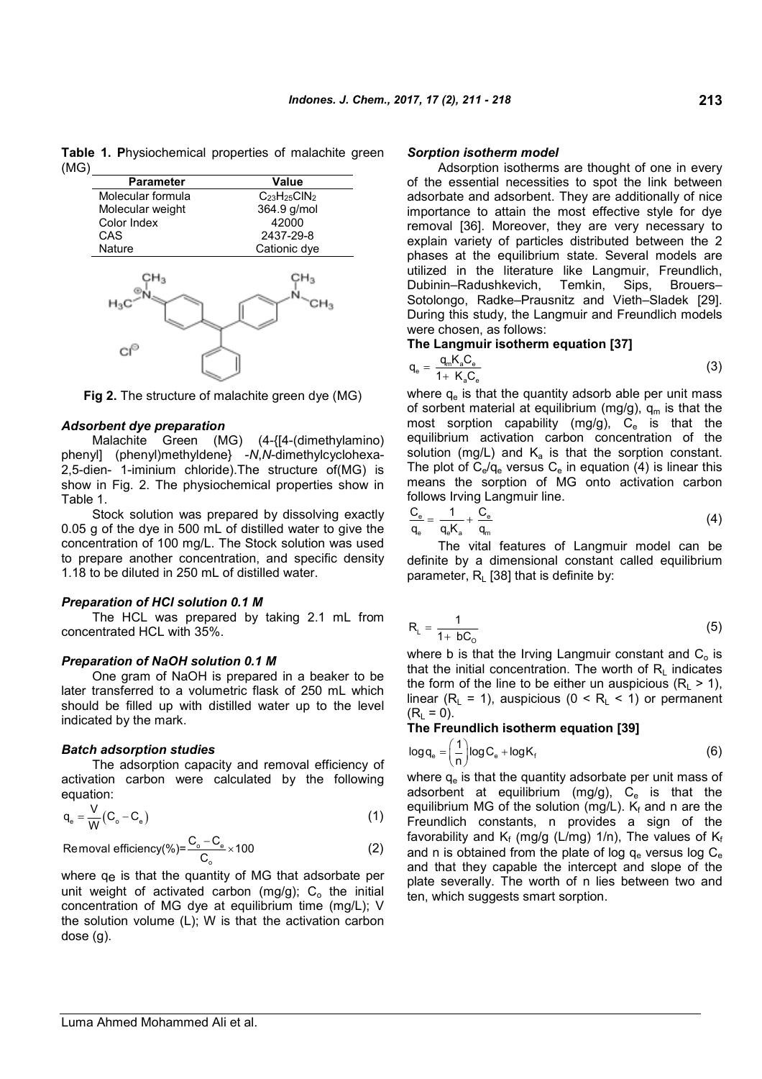**Table 1. P**hysiochemical properties of malachite green (MG)

| <b>Parameter</b>     | Value               |
|----------------------|---------------------|
| Molecular formula    | $C_{23}H_{25}CIN_2$ |
| Molecular weight     | 364.9 g/mol         |
| Color Index          | 42000               |
| CAS                  | 2437-29-8           |
| <b>Nature</b>        | Cationic dye        |
| ٦α<br>H <sub>3</sub> |                     |
|                      |                     |

**Fig 2.** The structure of malachite green dye (MG)

#### *Adsorbent dye preparation*

Malachite Green (MG) (4-{[4-(dimethylamino) phenyl] (phenyl)methyldene} -*N*,*N*-dimethylcyclohexa-2,5-dien- 1-iminium chloride).The structure of(MG) is show in Fig. 2. The physiochemical properties show in Table 1.

Stock solution was prepared by dissolving exactly 0.05 g of the dye in 500 mL of distilled water to give the concentration of 100 mg/L. The Stock solution was used to prepare another concentration, and specific density 1.18 to be diluted in 250 mL of distilled water.

### *Preparation of HCl solution 0.1 M*

The HCL was prepared by taking 2.1 mL from concentrated HCL with 35%.

### *Preparation of NaOH solution 0.1 M*

One gram of NaOH is prepared in a beaker to be later transferred to a volumetric flask of 250 mL which should be filled up with distilled water up to the level indicated by the mark.

#### *Batch adsorption studies*

The adsorption capacity and removal efficiency of activation carbon were calculated by the following equation:

$$
q_e = \frac{V}{W}(C_o - C_e)
$$
 (1)

$$
Removal efficiency(\%)=\frac{C_o - C_e}{C_o} \times 100
$$
 (2)

where qe is that the quantity of MG that adsorbate per unit weight of activated carbon  $(mg/g)$ ; C<sub>o</sub> the initial concentration of MG dye at equilibrium time (mg/L); V the solution volume (L); W is that the activation carbon dose (g).

### *Sorption isotherm model*

Adsorption isotherms are thought of one in every of the essential necessities to spot the link between adsorbate and adsorbent. They are additionally of nice importance to attain the most effective style for dye removal [36]. Moreover, they are very necessary to explain variety of particles distributed between the 2 phases at the equilibrium state. Several models are utilized in the literature like Langmuir, Freundlich, Dubinin–Radushkevich, Temkin, Sips, Brouers– Sotolongo, Radke–Prausnitz and Vieth–Sladek [29]. During this study, the Langmuir and Freundlich models were chosen, as follows:

## **The Langmuir isotherm equation [37]**

$$
q_e = \frac{q_m K_a C_e}{1 + K_a C_e} \tag{3}
$$

where  $q_e$  is that the quantity adsorb able per unit mass of sorbent material at equilibrium (mg/g),  $q_m$  is that the most sorption capability (mg/g),  $C_e$  is that the equilibrium activation carbon concentration of the solution (mg/L) and  $K_a$  is that the sorption constant. The plot of  $C_e/q_e$  versus  $C_e$  in equation (4) is linear this means the sorption of MG onto activation carbon follows Irving Langmuir line.

$$
\frac{C_e}{q_e} = \frac{1}{q_e K_a} + \frac{C_e}{q_m} \tag{4}
$$

The vital features of Langmuir model can be definite by a dimensional constant called equilibrium parameter,  $R_L$  [38] that is definite by:

$$
R_{L} = \frac{1}{1 + bC_{\circ}} \tag{5}
$$

where b is that the Irving Langmuir constant and  $C<sub>o</sub>$  is that the initial concentration. The worth of  $R_L$  indicates the form of the line to be either un auspicious ( $R_1 > 1$ ), linear ( $R_L = 1$ ), auspicious ( $0 < R_L < 1$ ) or permanent  $(R<sub>1</sub> = 0).$ 

## **The Freundlich isotherm equation [39]**

$$
\log q_e = \left(\frac{1}{n}\right) \log C_e + \log K_f \tag{6}
$$

where  $q_e$  is that the quantity adsorbate per unit mass of adsorbent at equilibrium  $(mg/g)$ ,  $C_e$  is that the equilibrium MG of the solution (mg/L).  $K_f$  and n are the Freundlich constants, n provides a sign of the favorability and  $K_f$  (mg/g (L/mg) 1/n), The values of  $K_f$ and n is obtained from the plate of log  $q_e$  versus log  $C_e$ and that they capable the intercept and slope of the plate severally. The worth of n lies between two and ten, which suggests smart sorption.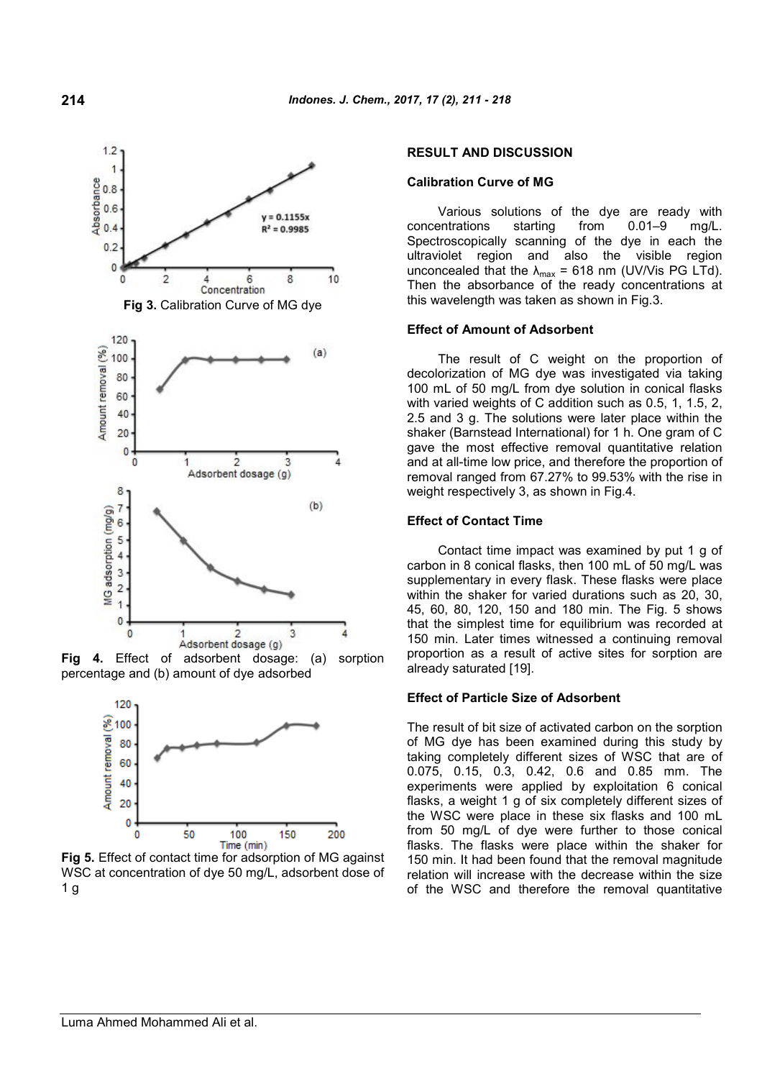

**Fig 4.** Effect of adsorbent dosage: (a) sorption percentage and (b) amount of dye adsorbed



**Fig 5.** Effect of contact time for adsorption of MG against WSC at concentration of dye 50 mg/L, adsorbent dose of  $1<sub>g</sub>$ 

# **RESULT AND DISCUSSION**

## **Calibration Curve of MG**

Various solutions of the dye are ready with concentrations starting from 0.01–9 mg/L. Spectroscopically scanning of the dye in each the ultraviolet region and also the visible region unconcealed that the  $\lambda_{\text{max}} = 618$  nm (UV/Vis PG LTd). Then the absorbance of the ready concentrations at this wavelength was taken as shown in Fig.3.

#### **Effect of Amount of Adsorbent**

The result of C weight on the proportion of decolorization of MG dye was investigated via taking 100 mL of 50 mg/L from dye solution in conical flasks with varied weights of C addition such as 0.5, 1, 1.5, 2, 2.5 and 3 g. The solutions were later place within the shaker (Barnstead International) for 1 h. One gram of C gave the most effective removal quantitative relation and at all-time low price, and therefore the proportion of removal ranged from 67.27% to 99.53% with the rise in weight respectively 3, as shown in Fig.4.

#### **Effect of Contact Time**

Contact time impact was examined by put 1 g of carbon in 8 conical flasks, then 100 mL of 50 mg/L was supplementary in every flask. These flasks were place within the shaker for varied durations such as 20, 30, 45, 60, 80, 120, 150 and 180 min. The Fig. 5 shows that the simplest time for equilibrium was recorded at 150 min. Later times witnessed a continuing removal proportion as a result of active sites for sorption are already saturated [19].

### **Effect of Particle Size of Adsorbent**

The result of bit size of activated carbon on the sorption of MG dye has been examined during this study by taking completely different sizes of WSC that are of 0.075, 0.15, 0.3, 0.42, 0.6 and 0.85 mm. The experiments were applied by exploitation 6 conical flasks, a weight 1 g of six completely different sizes of the WSC were place in these six flasks and 100 mL from 50 mg/L of dye were further to those conical flasks. The flasks were place within the shaker for 150 min. It had been found that the removal magnitude relation will increase with the decrease within the size of the WSC and therefore the removal quantitative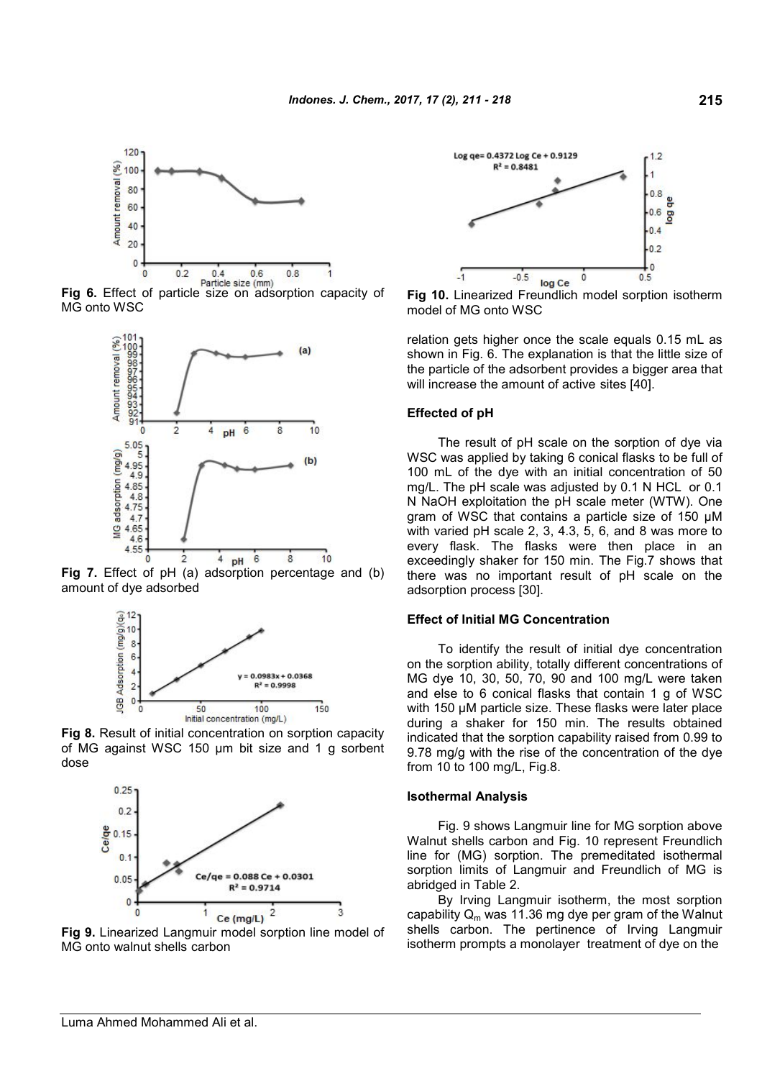

**Fig 6.** Effect of particle size (mm) MG onto WSC



**Fig 7.** Effect of pH (a) adsorption percentage and (b) amount of dye adsorbed



**Fig 8.** Result of initial concentration on sorption capacity of MG against WSC 150 µm bit size and 1 g sorbent dose



**Fig 9.** Linearized Langmuir model sorption line model of MG onto walnut shells carbon

۹



**Fig 10.** Linearized Freundlich model sorption isotherm model of MG onto WSC

relation gets higher once the scale equals 0.15 mL as shown in Fig. 6. The explanation is that the little size of the particle of the adsorbent provides a bigger area that will increase the amount of active sites [40].

### **Effected of pH**

The result of pH scale on the sorption of dye via WSC was applied by taking 6 conical flasks to be full of 100 mL of the dye with an initial concentration of 50 mg/L. The pH scale was adjusted by 0.1 N HCL or 0.1 N NaOH exploitation the pH scale meter (WTW). One gram of WSC that contains a particle size of 150 μM with varied pH scale 2, 3, 4.3, 5, 6, and 8 was more to every flask. The flasks were then place in an exceedingly shaker for 150 min. The Fig.7 shows that there was no important result of pH scale on the adsorption process [30].

# **Effect of Initial MG Concentration**

To identify the result of initial dye concentration on the sorption ability, totally different concentrations of MG dye 10, 30, 50, 70, 90 and 100 mg/L were taken and else to 6 conical flasks that contain 1 g of WSC with 150 μM particle size. These flasks were later place during a shaker for 150 min. The results obtained indicated that the sorption capability raised from 0.99 to 9.78 mg/g with the rise of the concentration of the dye from 10 to 100 mg/L, Fig.8.

## **Isothermal Analysis**

Fig. 9 shows Langmuir line for MG sorption above Walnut shells carbon and Fig. 10 represent Freundlich line for (MG) sorption. The premeditated isothermal sorption limits of Langmuir and Freundlich of MG is abridged in Table 2.

By Irving Langmuir isotherm, the most sorption capability  $Q_m$  was 11.36 mg dye per gram of the Walnut shells carbon. The pertinence of Irving Langmuir isotherm prompts a monolayer treatment of dye on the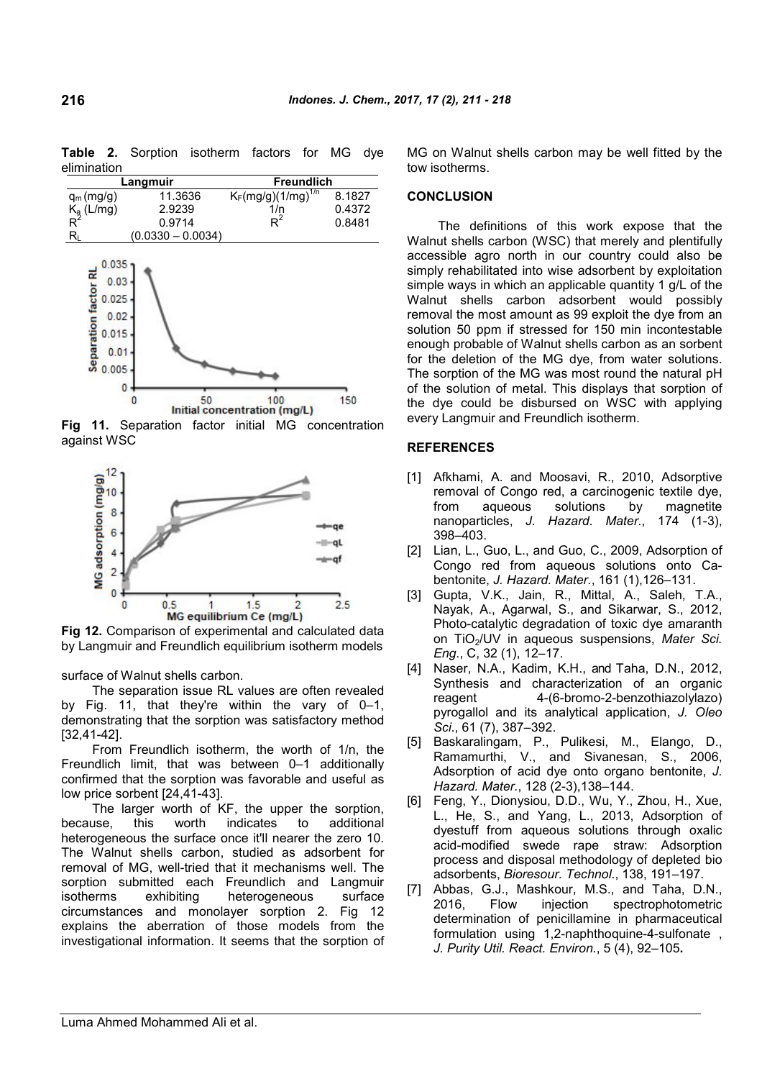**Table 2.** Sorption isotherm factors for MG dye elimination

| Langmuir                       |                     | <b>Freundlich</b>       |        |
|--------------------------------|---------------------|-------------------------|--------|
| $q_m(mg/g)$                    | 11.3636             | $K_F(mg/g)(1/mg)^{1/n}$ | 8.1827 |
| $K_a$ (L/mg)<br>R <sup>2</sup> | 2.9239              | 1/n                     | 0.4372 |
|                                | 0.9714              | $\mathsf{R}^2$          | 0.8481 |
| R۱                             | $(0.0330 - 0.0034)$ |                         |        |



**Fig 11.** Separation factor initial MG concentration against WSC



**Fig 12.** Comparison of experimental and calculated data by Langmuir and Freundlich equilibrium isotherm models

surface of Walnut shells carbon.

The separation issue RL values are often revealed by Fig. 11, that they're within the vary of 0–1, demonstrating that the sorption was satisfactory method [32,41-42].

From Freundlich isotherm, the worth of 1/n, the Freundlich limit, that was between 0–1 additionally confirmed that the sorption was favorable and useful as low price sorbent [24,41-43].

The larger worth of KF, the upper the sorption, because, this worth indicates to additional heterogeneous the surface once it'll nearer the zero 10. The Walnut shells carbon, studied as adsorbent for removal of MG, well-tried that it mechanisms well. The sorption submitted each Freundlich and Langmuir<br>isotherms exhibiting heterogeneous surface isotherms exhibiting heterogeneous surface circumstances and monolayer sorption 2. Fig 12 explains the aberration of those models from the investigational information. It seems that the sorption of MG on Walnut shells carbon may be well fitted by the tow isotherms.

# **CONCLUSION**

The definitions of this work expose that the Walnut shells carbon (WSC) that merely and plentifully accessible agro north in our country could also be simply rehabilitated into wise adsorbent by exploitation simple ways in which an applicable quantity 1 g/L of the Walnut shells carbon adsorbent would possibly removal the most amount as 99 exploit the dye from an solution 50 ppm if stressed for 150 min incontestable enough probable of Walnut shells carbon as an sorbent for the deletion of the MG dye, from water solutions. The sorption of the MG was most round the natural pH of the solution of metal. This displays that sorption of the dye could be disbursed on WSC with applying every Langmuir and Freundlich isotherm.

## **REFERENCES**

- [1] Afkhami, A. and Moosavi, R., 2010, Adsorptive removal of Congo red, a carcinogenic textile dye, from aqueous solutions by magnetite nanoparticles, *J. Hazard. Mater.*, 174 (1-3), 398–403.
- [2] Lian, L., Guo, L., and Guo, C., 2009, Adsorption of Congo red from aqueous solutions onto Cabentonite, *J. Hazard. Mater.*, 161 (1),126–131.
- [3] Gupta, V.K., Jain, R., Mittal, A., Saleh, T.A., Nayak, A., Agarwal, S., and Sikarwar, S., 2012, Photo-catalytic degradation of toxic dye amaranth on TiO2/UV in aqueous suspensions, *Mater Sci. Eng*., C, 32 (1), 12–17.
- [4] Naser, N.A., Kadim, K.H., and Taha, D.N., 2012, Synthesis and characterization of an organic reagent 4-(6-bromo-2-benzothiazolylazo) pyrogallol and its analytical application, *J. Oleo Sci*., 61 (7), 387–392.
- [5] Baskaralingam, P., Pulikesi, M., Elango, D., Ramamurthi, V., and Sivanesan, S., 2006, Adsorption of acid dye onto organo bentonite, *J. Hazard. Mater.*, 128 (2-3),138–144.
- [6] Feng, Y., Dionysiou, D.D., Wu, Y., Zhou, H., Xue, L., He, S., and Yang, L., 2013, Adsorption of dyestuff from aqueous solutions through oxalic acid-modified swede rape straw: Adsorption process and disposal methodology of depleted bio adsorbents, *Bioresour. Technol*., 138, 191–197.
- [7] Abbas, G.J., Mashkour, M.S., and Taha, D.N., 2016, Flow injection spectrophotometric determination of penicillamine in pharmaceutical formulation using 1,2-naphthoquine-4-sulfonate , *J. Purity Util. React. Environ.*, 5 (4), 92–105**.**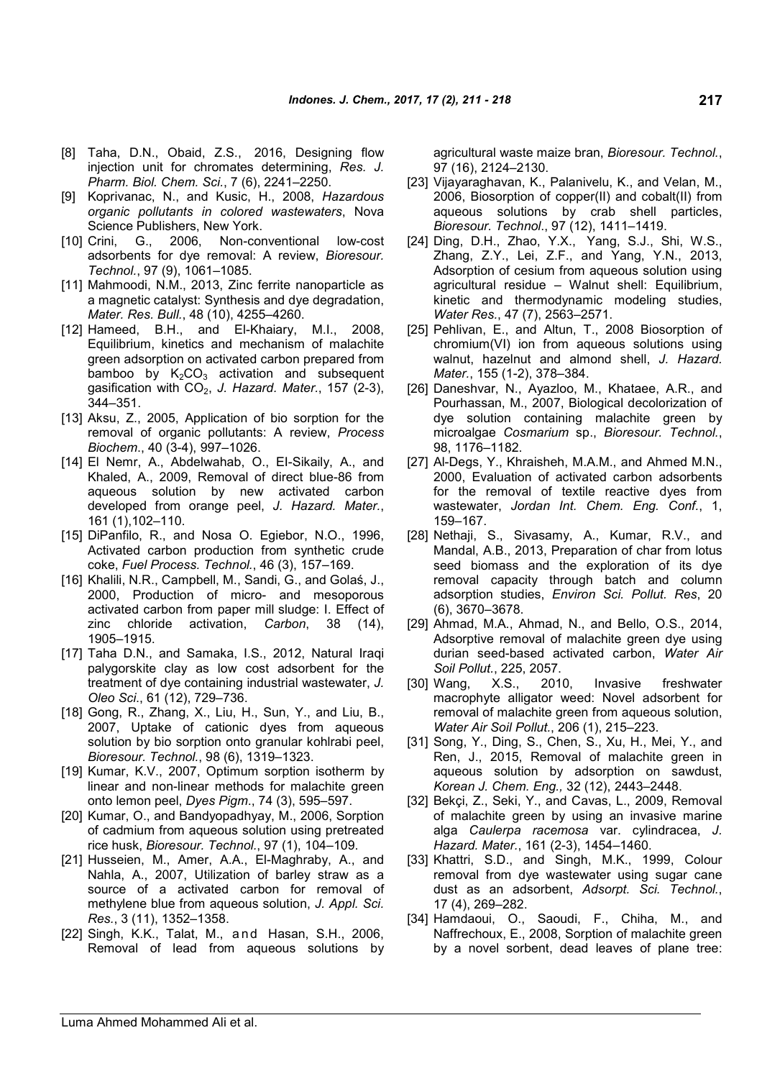- [8] Taha, D.N., Obaid, Z.S., 2016, Designing flow injection unit for chromates determining, *Res. J. Pharm. Biol. Chem. Sci.*, 7 (6), 2241–2250.
- [9] Koprivanac, N., and Kusic, H., 2008, *Hazardous organic pollutants in colored wastewaters*, Nova Science Publishers, New York.
- [10] Crini, G., 2006, Non-conventional low-cost adsorbents for dye removal: A review, *Bioresour. Technol.*, 97 (9), 1061–1085.
- [11] Mahmoodi, N.M., 2013, Zinc ferrite nanoparticle as a magnetic catalyst: Synthesis and dye degradation, *Mater. Res. Bull.*, 48 (10), 4255–4260.
- [12] Hameed, B.H., and El-Khaiary, M.I., 2008, Equilibrium, kinetics and mechanism of malachite green adsorption on activated carbon prepared from bamboo by  $K_2CO_3$  activation and subsequent gasification with CO<sub>2</sub>, *J. Hazard. Mater.*, 157 (2-3), 344–351.
- [13] Aksu, Z., 2005, Application of bio sorption for the removal of organic pollutants: A review, *Process Biochem*., 40 (3-4), 997–1026.
- [14] El Nemr, A., Abdelwahab, O., EI-Sikaily, A., and Khaled, A., 2009, Removal of direct blue-86 from aqueous solution by new activated carbon developed from orange peel, *J. Hazard. Mater.*, 161 (1),102–110.
- [15] DiPanfilo, R., and Nosa O. Egiebor, N.O., 1996, Activated carbon production from synthetic crude coke, *Fuel Process. Technol.*, 46 (3), 157–169.
- [16] Khalili, N.R., Campbell, M., Sandi, G., and Golas, J., 2000, Production of micro- and mesoporous activated carbon from paper mill sludge: I. Effect of zinc chloride activation, *Carbon*, 38 (14), 1905–1915.
- [17] Taha D.N., and Samaka, I.S., 2012, Natural Iraqi palygorskite clay as low cost adsorbent for the treatment of dye containing industrial wastewater, *J. Oleo Sci*., 61 (12), 729–736.
- [18] Gong, R., Zhang, X., Liu, H., Sun, Y., and Liu, B., 2007, Uptake of cationic dyes from aqueous solution by bio sorption onto granular kohlrabi peel, *Bioresour. Technol.*, 98 (6), 1319–1323.
- [19] Kumar, K.V., 2007, Optimum sorption isotherm by linear and non-linear methods for malachite green onto lemon peel, *Dyes Pigm*., 74 (3), 595–597.
- [20] Kumar, O., and Bandyopadhyay, M., 2006, Sorption of cadmium from aqueous solution using pretreated rice husk, *Bioresour. Technol.*, 97 (1), 104–109.
- [21] Husseien, M., Amer, A.A., El-Maghraby, A., and Nahla, A., 2007, Utilization of barley straw as a source of a activated carbon for removal of methylene blue from aqueous solution, *J. Appl. Sci. Res.*, 3 (11), 1352–1358.
- [22] Singh, K.K., Talat, M., and Hasan, S.H., 2006, Removal of lead from aqueous solutions by

agricultural waste maize bran, *Bioresour. Technol.*, 97 (16), 2124–2130.

- [23] Vijayaraghavan, K., Palanivelu, K., and Velan, M., 2006, Biosorption of copper(II) and cobalt(II) from aqueous solutions by crab shell particles, *Bioresour. Technol*., 97 (12), 1411–1419.
- [24] Ding, D.H., Zhao, Y.X., Yang, S.J., Shi, W.S., Zhang, Z.Y., Lei, Z.F., and Yang, Y.N., 2013, Adsorption of cesium from aqueous solution using agricultural residue – Walnut shell: Equilibrium, kinetic and thermodynamic modeling studies, *Water Res.*, 47 (7), 2563–2571.
- [25] Pehlivan, E., and Altun, T., 2008 Biosorption of chromium(VI) ion from aqueous solutions using walnut, hazelnut and almond shell, *J. Hazard. Mater.*, 155 (1-2), 378–384.
- [26] Daneshvar, N., Ayazloo, M., Khataee, A.R., and Pourhassan, M., 2007, Biological decolorization of dye solution containing malachite green by microalgae *Cosmarium* sp., *Bioresour. Technol.*, 98, 1176–1182.
- [27] Al-Degs, Y., Khraisheh, M.A.M., and Ahmed M.N., 2000, Evaluation of activated carbon adsorbents for the removal of textile reactive dyes from wastewater, *Jordan Int. Chem. Eng. Conf.*, 1, 159–167.
- [28] Nethaji, S., Sivasamy, A., Kumar, R.V., and Mandal, A.B., 2013, Preparation of char from lotus seed biomass and the exploration of its dye removal capacity through batch and column adsorption studies, *Environ Sci. Pollut. Res*, 20 (6), 3670–3678.
- [29] Ahmad, M.A., Ahmad, N., and Bello, O.S., 2014, Adsorptive removal of malachite green dye using durian seed-based activated carbon, *Water Air Soil Pollut.*, 225, 2057.
- [30] Wang, X.S., 2010, Invasive freshwater macrophyte alligator weed: Novel adsorbent for removal of malachite green from aqueous solution, *Water Air Soil Pollut.*, 206 (1), 215–223.
- [31] Song, Y., Ding, S., Chen, S., Xu, H., Mei, Y., and Ren, J., 2015, Removal of malachite green in aqueous solution by adsorption on sawdust, *Korean J. Chem. Eng.,* 32 (12), 2443–2448.
- [32] Bekçi, Z., Seki, Y., and Cavas, L., 2009, Removal of malachite green by using an invasive marine alga *Caulerpa racemosa* var. cylindracea, *J. Hazard. Mater.*, 161 (2-3), 1454–1460.
- [33] Khattri, S.D., and Singh, M.K., 1999, Colour removal from dye wastewater using sugar cane dust as an adsorbent, *Adsorpt. Sci. Technol.*, 17 (4), 269–282.
- [34] Hamdaoui, O., Saoudi, F., Chiha, M., and Naffrechoux, E., 2008, Sorption of malachite green by a novel sorbent, dead leaves of plane tree: